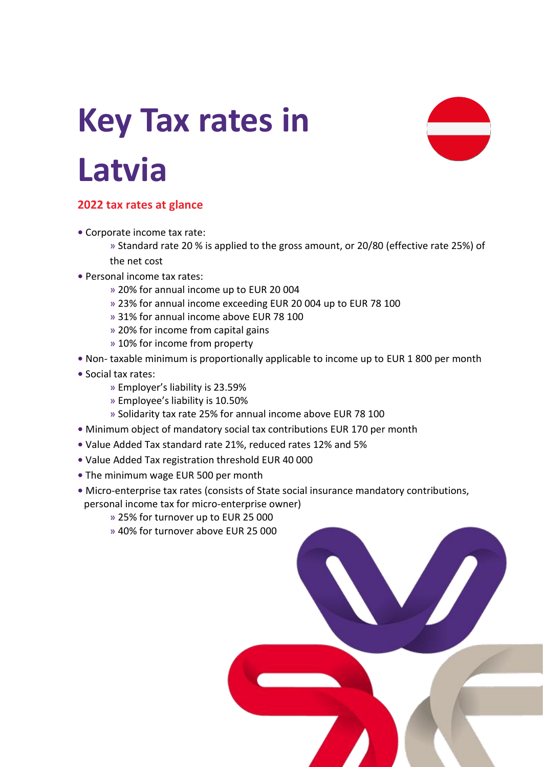# **Key Tax rates in Latvia**



### **2022 tax rates at glance**

**•** Corporate income tax rate:

» Standard rate 20 % is applied to the gross amount, or 20/80 (effective rate 25%) of the net cost

- Personal income tax rates:
	- » 20% for annual income up to EUR 20 004
	- » 23% for annual income exceeding EUR 20 004 up to EUR 78 100
	- » 31% for annual income above EUR 78 100
	- » 20% for income from capital gains
	- » 10% for income from property
- Non- taxable minimum is proportionally applicable to income up to EUR 1 800 per month
- Social tax rates:
	- » Employer's liability is 23.59%
	- » Employee's liability is 10.50%
	- » Solidarity tax rate 25% for annual income above EUR 78 100
- Minimum object of mandatory social tax contributions EUR 170 per month
- Value Added Tax standard rate 21%, reduced rates 12% and 5%
- Value Added Tax registration threshold EUR 40 000
- The minimum wage EUR 500 per month
- Micro-enterprise tax rates (consists of State social insurance mandatory contributions, personal income tax for micro-enterprise owner)
	- » 25% for turnover up to EUR 25 000
	- » 40% for turnover above EUR 25 000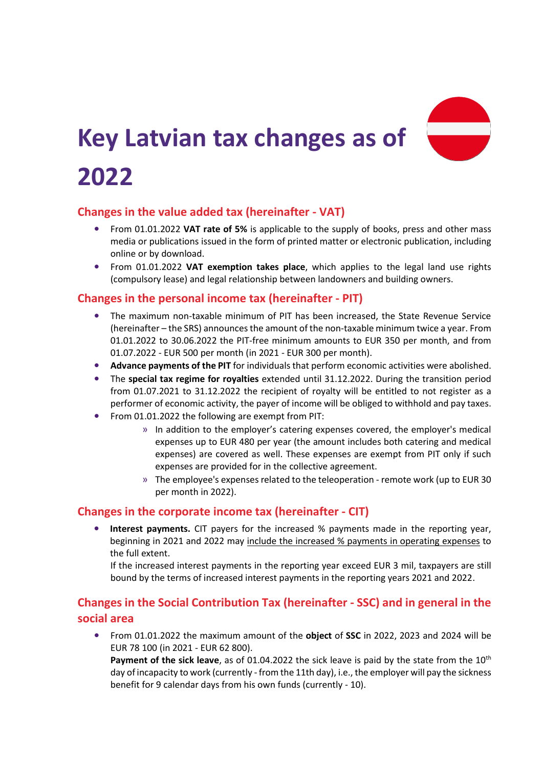

# **Key Latvian tax changes as of 2022**

# **Changes in the value added tax (hereinafter - VAT)**

- **•** From 01.01.2022 **VAT rate of 5%** is applicable to the supply of books, press and other mass media or publications issued in the form of printed matter or electronic publication, including online or by download.
- **•** From 01.01.2022 **VAT exemption takes place**, which applies to the legal land use rights (compulsory lease) and legal relationship between landowners and building owners.

### **Changes in the personal income tax (hereinafter - PIT)**

- **•** The maximum non-taxable minimum of PIT has been increased, the State Revenue Service (hereinafter – the SRS) announces the amount of the non-taxable minimum twice a year. From 01.01.2022 to 30.06.2022 the PIT-free minimum amounts to EUR 350 per month, and from 01.07.2022 - EUR 500 per month (in 2021 - EUR 300 per month).
- **• Advance payments of the PIT** for individuals that perform economic activities were abolished.
- **•** The **special tax regime for royalties** extended until 31.12.2022. During the transition period from 01.07.2021 to 31.12.2022 the recipient of royalty will be entitled to not register as a performer of economic activity, the payer of income will be obliged to withhold and pay taxes.
- **•** From 01.01.2022 the following are exempt from PIT:
	- » In addition to the employer's catering expenses covered, the employer's medical expenses up to EUR 480 per year (the amount includes both catering and medical expenses) are covered as well. These expenses are exempt from PIT only if such expenses are provided for in the collective agreement.
	- » The employee's expenses related to the teleoperation remote work (up to EUR 30 per month in 2022).

### **Changes in the corporate income tax (hereinafter - CIT)**

**• Interest payments.** CIT payers for the increased % payments made in the reporting year, beginning in 2021 and 2022 may include the increased % payments in operating expenses to the full extent.

If the increased interest payments in the reporting year exceed EUR 3 mil, taxpayers are still bound by the terms of increased interest payments in the reporting years 2021 and 2022.

# **Changes in the Social Contribution Tax (hereinafter - SSC) and in general in the social area**

**•** From 01.01.2022 the maximum amount of the **object** of **SSC** in 2022, 2023 and 2024 will be EUR 78 100 (in 2021 - EUR 62 800). **Payment of the sick leave,** as of 01.04.2022 the sick leave is paid by the state from the 10<sup>th</sup>

day of incapacity to work (currently - from the 11th day), i.e., the employer will pay the sickness benefit for 9 calendar days from his own funds (currently - 10).